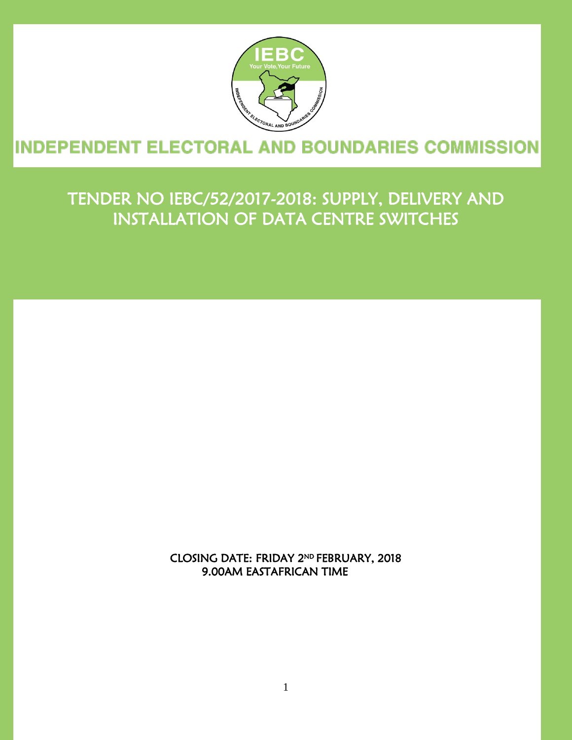

#### ŕ j

# TENDER NO IEBC/52/2017-2018: SUPPLY, DELIVERY AND INSTALLATION OF DATA CENTRE SWITCHES

Ξ

i<br>I

CLOSING DATE: FRIDAY 2 ND FEBRUARY, 2018 9.00AM EASTAFRICAN TIME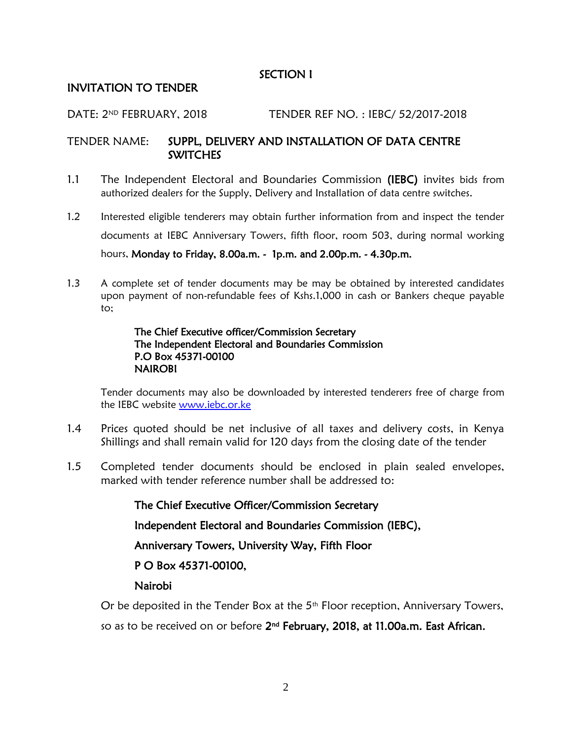#### SECTION I

#### INVITATION TO TENDER

#### DATE: 2ND FEBRUARY, 2018 TENDER REF NO. : IEBC/ 52/2017-2018

#### TENDER NAME: SUPPL, DELIVERY AND INSTALLATION OF DATA CENTRE **SWITCHES**

- 1.1 The Independent Electoral and Boundaries Commission (IEBC) invites bids from authorized dealers for the Supply, Delivery and Installation of data centre switches.
- 1.2 Interested eligible tenderers may obtain further information from and inspect the tender documents at IEBC Anniversary Towers, fifth floor, room 503, during normal working hours, Monday to Friday, 8.00a.m. - 1p.m. and 2.00p.m. - 4.30p.m.
- 1.3 A complete set of tender documents may be may be obtained by interested candidates upon payment of non-refundable fees of Kshs.1,000 in cash or Bankers cheque payable to;

#### The Chief Executive officer/Commission Secretary The Independent Electoral and Boundaries Commission P.O Box 45371-00100 NAIROBI

Tender documents may also be downloaded by interested tenderers free of charge from the IEBC website [www.iebc.or.ke](http://www.iebc.or.ke/)

- 1.4 Prices quoted should be net inclusive of all taxes and delivery costs, in Kenya Shillings and shall remain valid for 120 days from the closing date of the tender
- 1.5 Completed tender documents should be enclosed in plain sealed envelopes, marked with tender reference number shall be addressed to:

The Chief Executive Officer/Commission Secretary Independent Electoral and Boundaries Commission (IEBC), Anniversary Towers, University Way, Fifth Floor P O Box 45371-00100, Nairobi

Or be deposited in the Tender Box at the 5<sup>th</sup> Floor reception, Anniversary Towers,

so as to be received on or before 2<sup>nd</sup> February, 2018, at 11.00a.m. East African.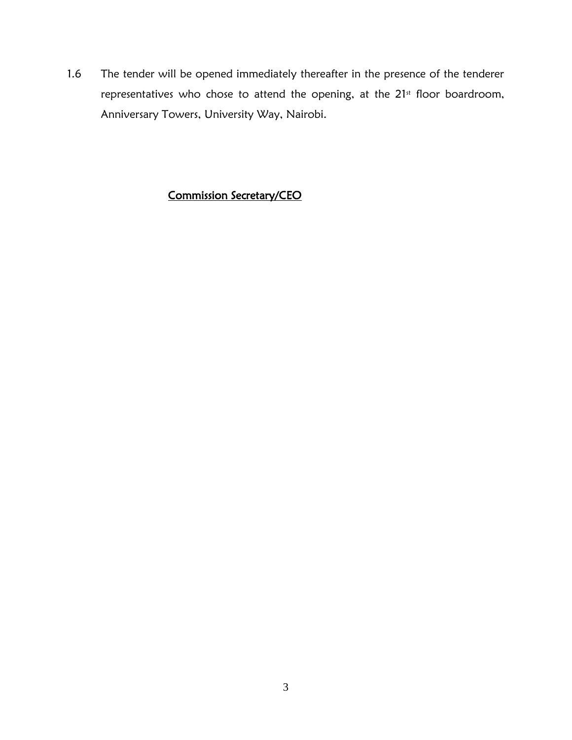1.6 The tender will be opened immediately thereafter in the presence of the tenderer representatives who chose to attend the opening, at the  $21<sup>st</sup>$  floor boardroom, Anniversary Towers, University Way, Nairobi.

## Commission Secretary/CEO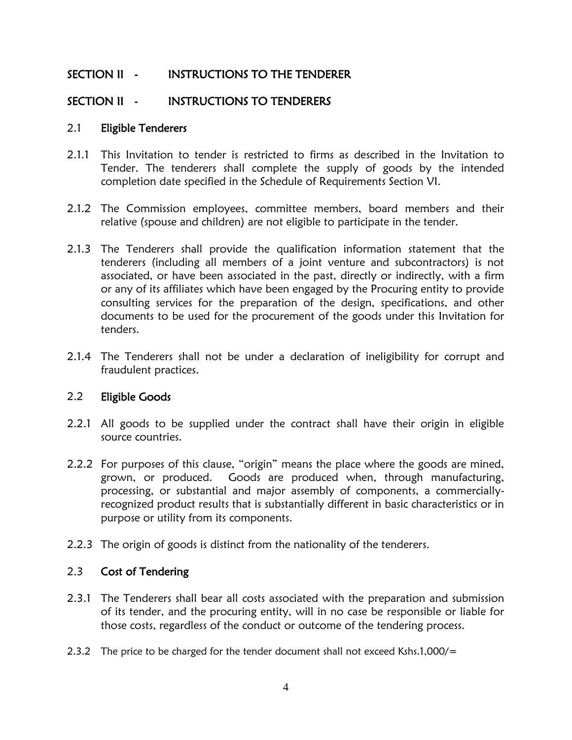## SECTION II - INSTRUCTIONS TO THE TENDERER

### SECTION II - INSTRUCTIONS TO TENDERERS

#### 2.1 Eligible Tenderers

- 2.1.1 This Invitation to tender is restricted to firms as described in the Invitation to Tender. The tenderers shall complete the supply of goods by the intended completion date specified in the Schedule of Requirements Section VI.
- 2.1.2 The Commission employees, committee members, board members and their relative (spouse and children) are not eligible to participate in the tender.
- 2.1.3 The Tenderers shall provide the qualification information statement that the tenderers (including all members of a joint venture and subcontractors) is not associated, or have been associated in the past, directly or indirectly, with a firm or any of its affiliates which have been engaged by the Procuring entity to provide consulting services for the preparation of the design, specifications, and other documents to be used for the procurement of the goods under this Invitation for tenders.
- 2.1.4 The Tenderers shall not be under a declaration of ineligibility for corrupt and fraudulent practices.

#### 2.2 Eligible Goods

- 2.2.1 All goods to be supplied under the contract shall have their origin in eligible source countries.
- 2.2.2 For purposes of this clause, "origin" means the place where the goods are mined, grown, or produced. Goods are produced when, through manufacturing, processing, or substantial and major assembly of components, a commerciallyrecognized product results that is substantially different in basic characteristics or in purpose or utility from its components.
- 2.2.3 The origin of goods is distinct from the nationality of the tenderers.

#### 2.3 Cost of Tendering

- 2.3.1 The Tenderers shall bear all costs associated with the preparation and submission of its tender, and the procuring entity, will in no case be responsible or liable for those costs, regardless of the conduct or outcome of the tendering process.
- 2.3.2 The price to be charged for the tender document shall not exceed Kshs.1,000/=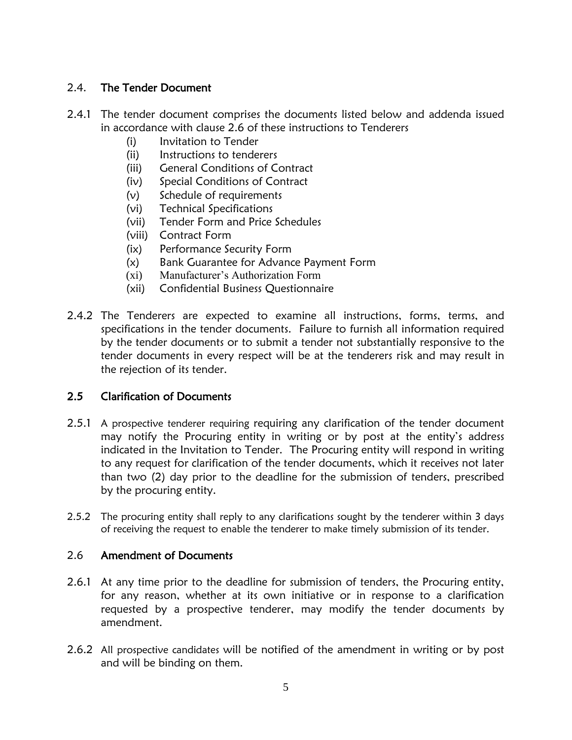#### 2.4. The Tender Document

- 2.4.1 The tender document comprises the documents listed below and addenda issued in accordance with clause 2.6 of these instructions to Tenderers
	- (i) Invitation to Tender
	- (ii) Instructions to tenderers
	- (iii) General Conditions of Contract
	- (iv) Special Conditions of Contract
	- (v) Schedule of requirements
	- (vi) Technical Specifications
	- (vii) Tender Form and Price Schedules
	- (viii) Contract Form
	- (ix) Performance Security Form
	- (x) Bank Guarantee for Advance Payment Form
	- (xi) Manufacturer's Authorization Form
	- (xii) Confidential Business Questionnaire
- 2.4.2 The Tenderers are expected to examine all instructions, forms, terms, and specifications in the tender documents. Failure to furnish all information required by the tender documents or to submit a tender not substantially responsive to the tender documents in every respect will be at the tenderers risk and may result in the rejection of its tender.

#### 2.5 Clarification of Documents

- 2.5.1 A prospective tenderer requiring requiring any clarification of the tender document may notify the Procuring entity in writing or by post at the entity's address indicated in the Invitation to Tender. The Procuring entity will respond in writing to any request for clarification of the tender documents, which it receives not later than two (2) day prior to the deadline for the submission of tenders, prescribed by the procuring entity.
- 2.5.2 The procuring entity shall reply to any clarifications sought by the tenderer within 3 days of receiving the request to enable the tenderer to make timely submission of its tender.

#### 2.6 Amendment of Documents

- 2.6.1 At any time prior to the deadline for submission of tenders, the Procuring entity, for any reason, whether at its own initiative or in response to a clarification requested by a prospective tenderer, may modify the tender documents by amendment.
- 2.6.2 All prospective candidates will be notified of the amendment in writing or by post and will be binding on them.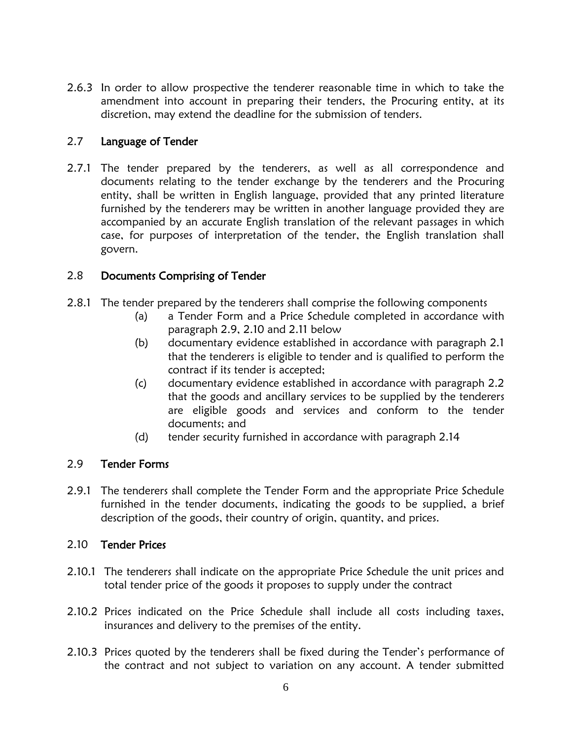2.6.3 In order to allow prospective the tenderer reasonable time in which to take the amendment into account in preparing their tenders, the Procuring entity, at its discretion, may extend the deadline for the submission of tenders.

#### 2.7 Language of Tender

2.7.1 The tender prepared by the tenderers, as well as all correspondence and documents relating to the tender exchange by the tenderers and the Procuring entity, shall be written in English language, provided that any printed literature furnished by the tenderers may be written in another language provided they are accompanied by an accurate English translation of the relevant passages in which case, for purposes of interpretation of the tender, the English translation shall govern.

#### 2.8 Documents Comprising of Tender

- 2.8.1 The tender prepared by the tenderers shall comprise the following components
	- (a) a Tender Form and a Price Schedule completed in accordance with paragraph 2.9, 2.10 and 2.11 below
	- (b) documentary evidence established in accordance with paragraph 2.1 that the tenderers is eligible to tender and is qualified to perform the contract if its tender is accepted;
	- (c) documentary evidence established in accordance with paragraph 2.2 that the goods and ancillary services to be supplied by the tenderers are eligible goods and services and conform to the tender documents; and
	- (d) tender security furnished in accordance with paragraph 2.14

#### 2.9 Tender Forms

2.9.1 The tenderers shall complete the Tender Form and the appropriate Price Schedule furnished in the tender documents, indicating the goods to be supplied, a brief description of the goods, their country of origin, quantity, and prices.

#### 2.10 Tender Prices

- 2.10.1 The tenderers shall indicate on the appropriate Price Schedule the unit prices and total tender price of the goods it proposes to supply under the contract
- 2.10.2 Prices indicated on the Price Schedule shall include all costs including taxes, insurances and delivery to the premises of the entity.
- 2.10.3 Prices quoted by the tenderers shall be fixed during the Tender's performance of the contract and not subject to variation on any account. A tender submitted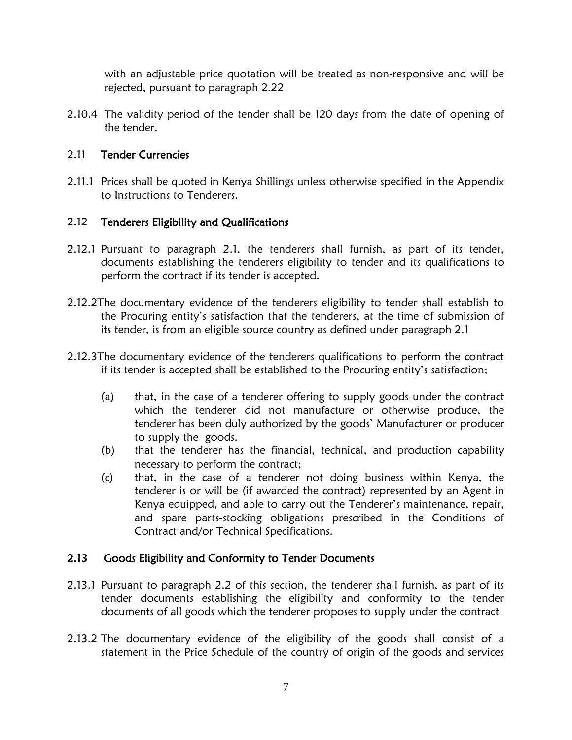with an adjustable price quotation will be treated as non-responsive and will be rejected, pursuant to paragraph 2.22

2.10.4 The validity period of the tender shall be 120 days from the date of opening of the tender.

#### 2.11 Tender Currencies

2.11.1 Prices shall be quoted in Kenya Shillings unless otherwise specified in the Appendix to Instructions to Tenderers.

### 2.12 Tenderers Eligibility and Qualifications

- 2.12.1 Pursuant to paragraph 2.1. the tenderers shall furnish, as part of its tender, documents establishing the tenderers eligibility to tender and its qualifications to perform the contract if its tender is accepted.
- 2.12.2The documentary evidence of the tenderers eligibility to tender shall establish to the Procuring entity's satisfaction that the tenderers, at the time of submission of its tender, is from an eligible source country as defined under paragraph 2.1
- 2.12.3The documentary evidence of the tenderers qualifications to perform the contract if its tender is accepted shall be established to the Procuring entity's satisfaction;
	- (a) that, in the case of a tenderer offering to supply goods under the contract which the tenderer did not manufacture or otherwise produce, the tenderer has been duly authorized by the goods' Manufacturer or producer to supply the goods.
	- (b) that the tenderer has the financial, technical, and production capability necessary to perform the contract;
	- (c) that, in the case of a tenderer not doing business within Kenya, the tenderer is or will be (if awarded the contract) represented by an Agent in Kenya equipped, and able to carry out the Tenderer's maintenance, repair, and spare parts-stocking obligations prescribed in the Conditions of Contract and/or Technical Specifications.

### 2.13 Goods Eligibility and Conformity to Tender Documents

- 2.13.1 Pursuant to paragraph 2.2 of this section, the tenderer shall furnish, as part of its tender documents establishing the eligibility and conformity to the tender documents of all goods which the tenderer proposes to supply under the contract
- 2.13.2 The documentary evidence of the eligibility of the goods shall consist of a statement in the Price Schedule of the country of origin of the goods and services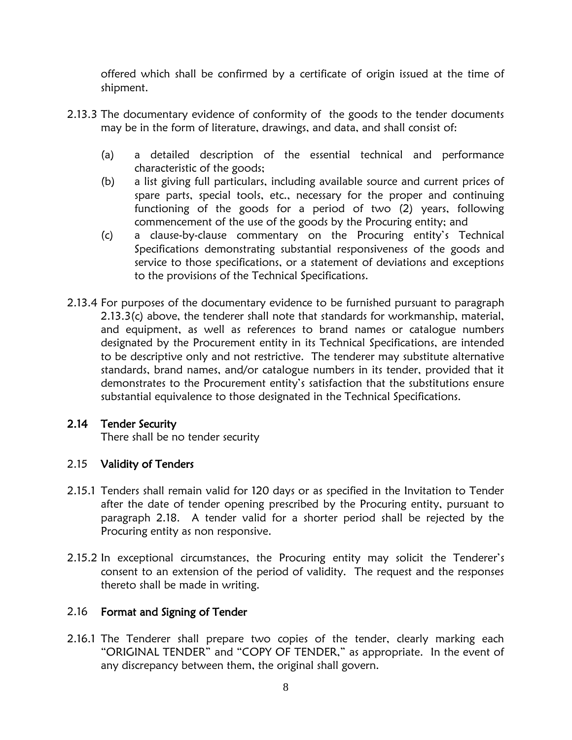offered which shall be confirmed by a certificate of origin issued at the time of shipment.

- 2.13.3 The documentary evidence of conformity of the goods to the tender documents may be in the form of literature, drawings, and data, and shall consist of:
	- (a) a detailed description of the essential technical and performance characteristic of the goods;
	- (b) a list giving full particulars, including available source and current prices of spare parts, special tools, etc., necessary for the proper and continuing functioning of the goods for a period of two (2) years, following commencement of the use of the goods by the Procuring entity; and
	- (c) a clause-by-clause commentary on the Procuring entity's Technical Specifications demonstrating substantial responsiveness of the goods and service to those specifications, or a statement of deviations and exceptions to the provisions of the Technical Specifications.
- 2.13.4 For purposes of the documentary evidence to be furnished pursuant to paragraph 2.13.3(c) above, the tenderer shall note that standards for workmanship, material, and equipment, as well as references to brand names or catalogue numbers designated by the Procurement entity in its Technical Specifications, are intended to be descriptive only and not restrictive. The tenderer may substitute alternative standards, brand names, and/or catalogue numbers in its tender, provided that it demonstrates to the Procurement entity's satisfaction that the substitutions ensure substantial equivalence to those designated in the Technical Specifications.

### 2.14 Tender Security

There shall be no tender security

### 2.15 Validity of Tenders

- 2.15.1 Tenders shall remain valid for 120 days or as specified in the Invitation to Tender after the date of tender opening prescribed by the Procuring entity, pursuant to paragraph 2.18. A tender valid for a shorter period shall be rejected by the Procuring entity as non responsive.
- 2.15.2 In exceptional circumstances, the Procuring entity may solicit the Tenderer's consent to an extension of the period of validity. The request and the responses thereto shall be made in writing.

### 2.16 Format and Signing of Tender

2.16.1 The Tenderer shall prepare two copies of the tender, clearly marking each "ORIGINAL TENDER" and "COPY OF TENDER," as appropriate. In the event of any discrepancy between them, the original shall govern.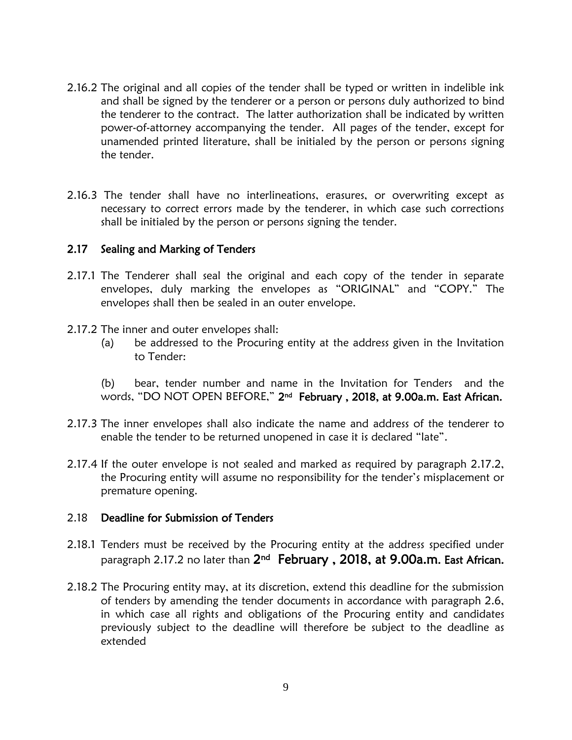- 2.16.2 The original and all copies of the tender shall be typed or written in indelible ink and shall be signed by the tenderer or a person or persons duly authorized to bind the tenderer to the contract. The latter authorization shall be indicated by written power-of-attorney accompanying the tender. All pages of the tender, except for unamended printed literature, shall be initialed by the person or persons signing the tender.
- 2.16.3 The tender shall have no interlineations, erasures, or overwriting except as necessary to correct errors made by the tenderer, in which case such corrections shall be initialed by the person or persons signing the tender.

#### 2.17 Sealing and Marking of Tenders

- 2.17.1 The Tenderer shall seal the original and each copy of the tender in separate envelopes, duly marking the envelopes as "ORIGINAL" and "COPY." The envelopes shall then be sealed in an outer envelope.
- 2.17.2 The inner and outer envelopes shall:
	- (a) be addressed to the Procuring entity at the address given in the Invitation to Tender:

(b) bear, tender number and name in the Invitation for Tenders and the words, "DO NOT OPEN BEFORE," 2<sup>nd</sup> February , 2018, at 9.00a.m. East African.

- 2.17.3 The inner envelopes shall also indicate the name and address of the tenderer to enable the tender to be returned unopened in case it is declared "late".
- 2.17.4 If the outer envelope is not sealed and marked as required by paragraph 2.17.2, the Procuring entity will assume no responsibility for the tender's misplacement or premature opening.

#### 2.18 Deadline for Submission of Tenders

- 2.18.1 Tenders must be received by the Procuring entity at the address specified under paragraph 2.17.2 no later than 2<sup>nd</sup> February , 2018, at 9.00a.m. East African.
- 2.18.2 The Procuring entity may, at its discretion, extend this deadline for the submission of tenders by amending the tender documents in accordance with paragraph 2.6, in which case all rights and obligations of the Procuring entity and candidates previously subject to the deadline will therefore be subject to the deadline as extended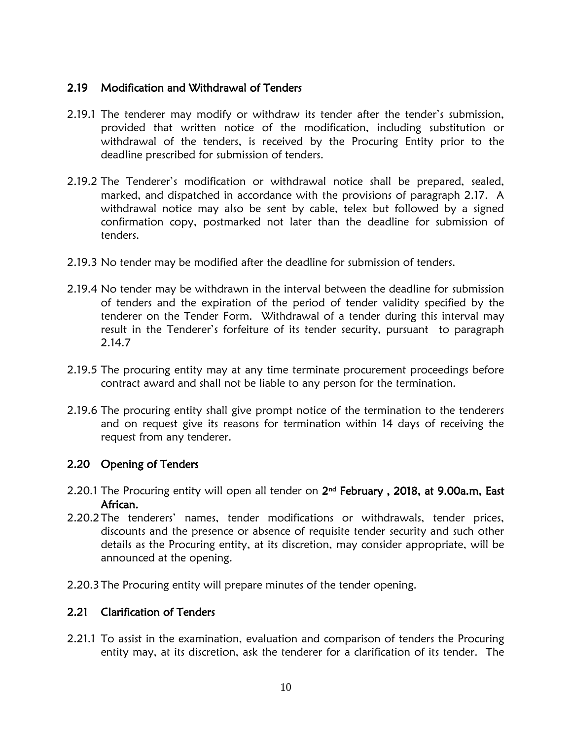#### 2.19 Modification and Withdrawal of Tenders

- 2.19.1 The tenderer may modify or withdraw its tender after the tender's submission, provided that written notice of the modification, including substitution or withdrawal of the tenders, is received by the Procuring Entity prior to the deadline prescribed for submission of tenders.
- 2.19.2 The Tenderer's modification or withdrawal notice shall be prepared, sealed, marked, and dispatched in accordance with the provisions of paragraph 2.17. A withdrawal notice may also be sent by cable, telex but followed by a signed confirmation copy, postmarked not later than the deadline for submission of tenders.
- 2.19.3 No tender may be modified after the deadline for submission of tenders.
- 2.19.4 No tender may be withdrawn in the interval between the deadline for submission of tenders and the expiration of the period of tender validity specified by the tenderer on the Tender Form. Withdrawal of a tender during this interval may result in the Tenderer's forfeiture of its tender security, pursuant to paragraph 2.14.7
- 2.19.5 The procuring entity may at any time terminate procurement proceedings before contract award and shall not be liable to any person for the termination.
- 2.19.6 The procuring entity shall give prompt notice of the termination to the tenderers and on request give its reasons for termination within 14 days of receiving the request from any tenderer.

#### 2.20 Opening of Tenders

- 2.20.1 The Procuring entity will open all tender on  $2^{\text{nd}}$  February, 2018, at 9.00a.m, East African.
- 2.20.2The tenderers' names, tender modifications or withdrawals, tender prices, discounts and the presence or absence of requisite tender security and such other details as the Procuring entity, at its discretion, may consider appropriate, will be announced at the opening.
- 2.20.3The Procuring entity will prepare minutes of the tender opening.

#### 2.21 Clarification of Tenders

2.21.1 To assist in the examination, evaluation and comparison of tenders the Procuring entity may, at its discretion, ask the tenderer for a clarification of its tender. The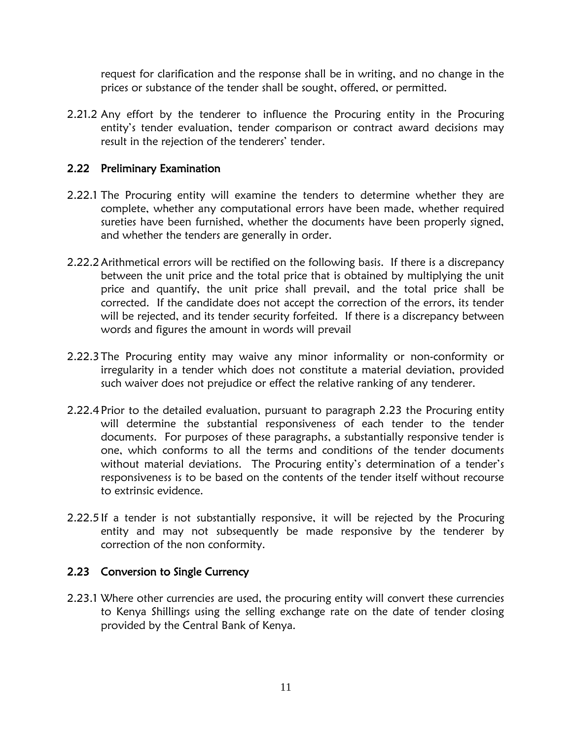request for clarification and the response shall be in writing, and no change in the prices or substance of the tender shall be sought, offered, or permitted.

2.21.2 Any effort by the tenderer to influence the Procuring entity in the Procuring entity's tender evaluation, tender comparison or contract award decisions may result in the rejection of the tenderers' tender.

### 2.22 Preliminary Examination

- 2.22.1 The Procuring entity will examine the tenders to determine whether they are complete, whether any computational errors have been made, whether required sureties have been furnished, whether the documents have been properly signed, and whether the tenders are generally in order.
- 2.22.2Arithmetical errors will be rectified on the following basis. If there is a discrepancy between the unit price and the total price that is obtained by multiplying the unit price and quantify, the unit price shall prevail, and the total price shall be corrected. If the candidate does not accept the correction of the errors, its tender will be rejected, and its tender security forfeited. If there is a discrepancy between words and figures the amount in words will prevail
- 2.22.3The Procuring entity may waive any minor informality or non-conformity or irregularity in a tender which does not constitute a material deviation, provided such waiver does not prejudice or effect the relative ranking of any tenderer.
- 2.22.4 Prior to the detailed evaluation, pursuant to paragraph 2.23 the Procuring entity will determine the substantial responsiveness of each tender to the tender documents. For purposes of these paragraphs, a substantially responsive tender is one, which conforms to all the terms and conditions of the tender documents without material deviations. The Procuring entity's determination of a tender's responsiveness is to be based on the contents of the tender itself without recourse to extrinsic evidence.
- 2.22.5 If a tender is not substantially responsive, it will be rejected by the Procuring entity and may not subsequently be made responsive by the tenderer by correction of the non conformity.

#### 2.23 Conversion to Single Currency

2.23.1 Where other currencies are used, the procuring entity will convert these currencies to Kenya Shillings using the selling exchange rate on the date of tender closing provided by the Central Bank of Kenya.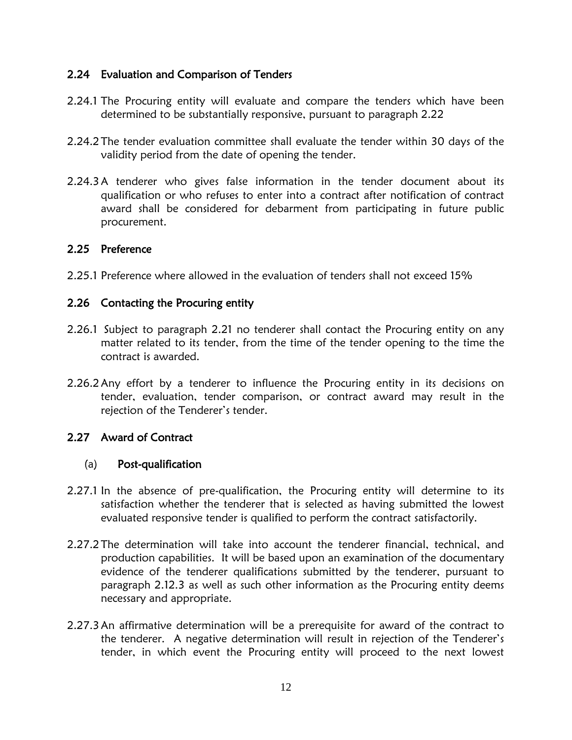#### 2.24 Evaluation and Comparison of Tenders

- 2.24.1 The Procuring entity will evaluate and compare the tenders which have been determined to be substantially responsive, pursuant to paragraph 2.22
- 2.24.2The tender evaluation committee shall evaluate the tender within 30 days of the validity period from the date of opening the tender.
- 2.24.3A tenderer who gives false information in the tender document about its qualification or who refuses to enter into a contract after notification of contract award shall be considered for debarment from participating in future public procurement.

#### 2.25 Preference

2.25.1 Preference where allowed in the evaluation of tenders shall not exceed 15%

#### 2.26 Contacting the Procuring entity

- 2.26.1 Subject to paragraph 2.21 no tenderer shall contact the Procuring entity on any matter related to its tender, from the time of the tender opening to the time the contract is awarded.
- 2.26.2Any effort by a tenderer to influence the Procuring entity in its decisions on tender, evaluation, tender comparison, or contract award may result in the rejection of the Tenderer's tender.

### 2.27 Award of Contract

#### (a) Post-qualification

- 2.27.1 In the absence of pre-qualification, the Procuring entity will determine to its satisfaction whether the tenderer that is selected as having submitted the lowest evaluated responsive tender is qualified to perform the contract satisfactorily.
- 2.27.2The determination will take into account the tenderer financial, technical, and production capabilities. It will be based upon an examination of the documentary evidence of the tenderer qualifications submitted by the tenderer, pursuant to paragraph 2.12.3 as well as such other information as the Procuring entity deems necessary and appropriate.
- 2.27.3An affirmative determination will be a prerequisite for award of the contract to the tenderer. A negative determination will result in rejection of the Tenderer's tender, in which event the Procuring entity will proceed to the next lowest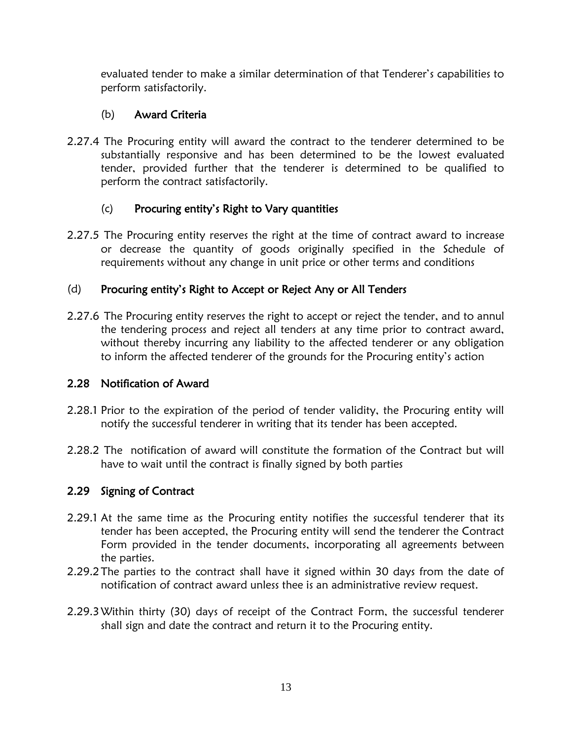evaluated tender to make a similar determination of that Tenderer's capabilities to perform satisfactorily.

## (b) Award Criteria

2.27.4 The Procuring entity will award the contract to the tenderer determined to be substantially responsive and has been determined to be the lowest evaluated tender, provided further that the tenderer is determined to be qualified to perform the contract satisfactorily.

### (c) Procuring entity's Right to Vary quantities

2.27.5 The Procuring entity reserves the right at the time of contract award to increase or decrease the quantity of goods originally specified in the Schedule of requirements without any change in unit price or other terms and conditions

## (d) Procuring entity's Right to Accept or Reject Any or All Tenders

2.27.6 The Procuring entity reserves the right to accept or reject the tender, and to annul the tendering process and reject all tenders at any time prior to contract award, without thereby incurring any liability to the affected tenderer or any obligation to inform the affected tenderer of the grounds for the Procuring entity's action

### 2.28 Notification of Award

- 2.28.1 Prior to the expiration of the period of tender validity, the Procuring entity will notify the successful tenderer in writing that its tender has been accepted.
- 2.28.2 The notification of award will constitute the formation of the Contract but will have to wait until the contract is finally signed by both parties

## 2.29 Signing of Contract

- 2.29.1 At the same time as the Procuring entity notifies the successful tenderer that its tender has been accepted, the Procuring entity will send the tenderer the Contract Form provided in the tender documents, incorporating all agreements between the parties.
- 2.29.2The parties to the contract shall have it signed within 30 days from the date of notification of contract award unless thee is an administrative review request.
- 2.29.3Within thirty (30) days of receipt of the Contract Form, the successful tenderer shall sign and date the contract and return it to the Procuring entity.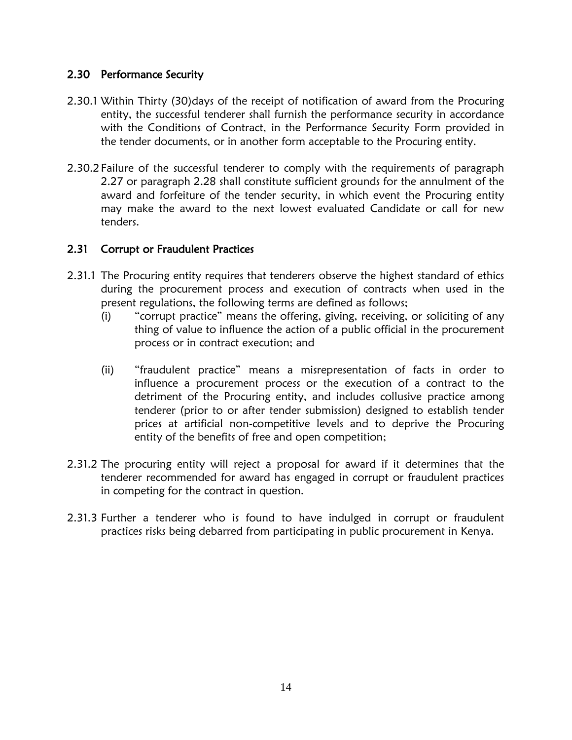#### 2.30 Performance Security

- 2.30.1 Within Thirty (30)days of the receipt of notification of award from the Procuring entity, the successful tenderer shall furnish the performance security in accordance with the Conditions of Contract, in the Performance Security Form provided in the tender documents, or in another form acceptable to the Procuring entity.
- 2.30.2Failure of the successful tenderer to comply with the requirements of paragraph 2.27 or paragraph 2.28 shall constitute sufficient grounds for the annulment of the award and forfeiture of the tender security, in which event the Procuring entity may make the award to the next lowest evaluated Candidate or call for new tenders.

### 2.31 Corrupt or Fraudulent Practices

- 2.31.1 The Procuring entity requires that tenderers observe the highest standard of ethics during the procurement process and execution of contracts when used in the present regulations, the following terms are defined as follows;
	- (i) "corrupt practice" means the offering, giving, receiving, or soliciting of any thing of value to influence the action of a public official in the procurement process or in contract execution; and
	- (ii) "fraudulent practice" means a misrepresentation of facts in order to influence a procurement process or the execution of a contract to the detriment of the Procuring entity, and includes collusive practice among tenderer (prior to or after tender submission) designed to establish tender prices at artificial non-competitive levels and to deprive the Procuring entity of the benefits of free and open competition;
- 2.31.2 The procuring entity will reject a proposal for award if it determines that the tenderer recommended for award has engaged in corrupt or fraudulent practices in competing for the contract in question.
- 2.31.3 Further a tenderer who is found to have indulged in corrupt or fraudulent practices risks being debarred from participating in public procurement in Kenya.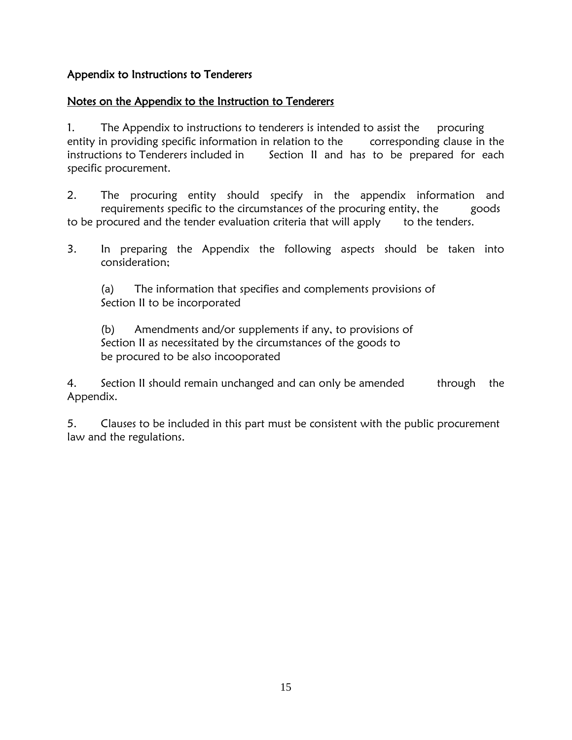## Appendix to Instructions to Tenderers

## Notes on the Appendix to the Instruction to Tenderers

1. The Appendix to instructions to tenderers is intended to assist the procuring entity in providing specific information in relation to the corresponding clause in the instructions to Tenderers included in Section II and has to be prepared for each specific procurement.

2. The procuring entity should specify in the appendix information and requirements specific to the circumstances of the procuring entity, the goods to be procured and the tender evaluation criteria that will apply to the tenders.

3. In preparing the Appendix the following aspects should be taken into consideration;

(a) The information that specifies and complements provisions of Section II to be incorporated

(b) Amendments and/or supplements if any, to provisions of Section II as necessitated by the circumstances of the goods to be procured to be also incooporated

4. Section II should remain unchanged and can only be amended through the Appendix.

5. Clauses to be included in this part must be consistent with the public procurement law and the regulations.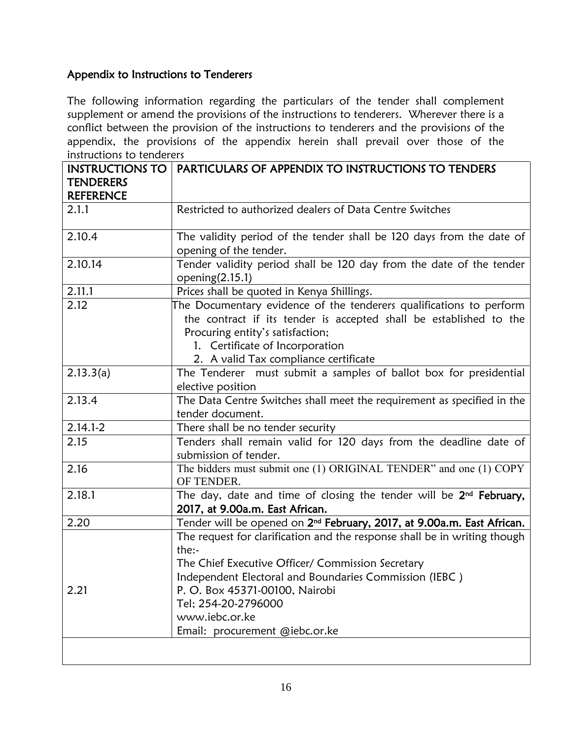## Appendix to Instructions to Tenderers

The following information regarding the particulars of the tender shall complement supplement or amend the provisions of the instructions to tenderers. Wherever there is a conflict between the provision of the instructions to tenderers and the provisions of the appendix, the provisions of the appendix herein shall prevail over those of the instructions to tenderers

| <b>INSTRUCTIONS TO</b> | PARTICULARS OF APPENDIX TO INSTRUCTIONS TO TENDERS                                 |
|------------------------|------------------------------------------------------------------------------------|
| <b>TENDERERS</b>       |                                                                                    |
| <b>REFERENCE</b>       |                                                                                    |
| 2.1.1                  | Restricted to authorized dealers of Data Centre Switches                           |
|                        |                                                                                    |
| 2.10.4                 | The validity period of the tender shall be 120 days from the date of               |
|                        | opening of the tender.                                                             |
| 2.10.14                | Tender validity period shall be 120 day from the date of the tender                |
|                        | opening $(2.15.1)$                                                                 |
| 2.11.1                 | Prices shall be quoted in Kenya Shillings.                                         |
| 2.12                   | The Documentary evidence of the tenderers qualifications to perform                |
|                        | the contract if its tender is accepted shall be established to the                 |
|                        | Procuring entity's satisfaction;                                                   |
|                        | 1. Certificate of Incorporation                                                    |
|                        | 2. A valid Tax compliance certificate                                              |
| 2.13.3(a)              | The Tenderer must submit a samples of ballot box for presidential                  |
|                        | elective position                                                                  |
| 2.13.4                 | The Data Centre Switches shall meet the requirement as specified in the            |
|                        | tender document.                                                                   |
| $2.14.1 - 2$           | There shall be no tender security                                                  |
| 2.15                   | Tenders shall remain valid for 120 days from the deadline date of                  |
|                        | submission of tender.                                                              |
| 2.16                   | The bidders must submit one (1) ORIGINAL TENDER" and one (1) COPY<br>OF TENDER.    |
| 2.18.1                 | The day, date and time of closing the tender will be 2 <sup>nd</sup> February,     |
|                        | 2017, at 9.00a.m. East African.                                                    |
| 2.20                   | Tender will be opened on 2 <sup>nd</sup> February, 2017, at 9.00a.m. East African. |
|                        | The request for clarification and the response shall be in writing though          |
|                        | the:-                                                                              |
|                        | The Chief Executive Officer/ Commission Secretary                                  |
|                        | Independent Electoral and Boundaries Commission (IEBC)                             |
| 2.21                   | P. O. Box 45371-00100, Nairobi                                                     |
|                        | Tel; 254-20-2796000                                                                |
|                        | www.iebc.or.ke                                                                     |
|                        | Email: procurement @iebc.or.ke                                                     |
|                        |                                                                                    |
|                        |                                                                                    |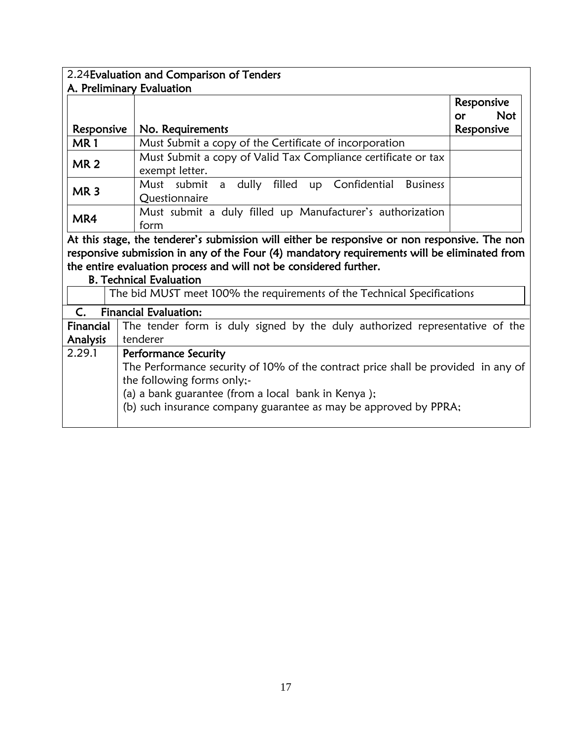|                 | 2.24 Evaluation and Comparison of Tenders                                                     |                  |
|-----------------|-----------------------------------------------------------------------------------------------|------------------|
|                 | A. Preliminary Evaluation                                                                     |                  |
|                 |                                                                                               | Responsive       |
|                 |                                                                                               | <b>Not</b><br>or |
| Responsive      | No. Requirements                                                                              | Responsive       |
| MR <sub>1</sub> | Must Submit a copy of the Certificate of incorporation                                        |                  |
| <b>MR2</b>      | Must Submit a copy of Valid Tax Compliance certificate or tax<br>exempt letter.               |                  |
| MR <sub>3</sub> | a dully filled up Confidential Business<br>Must submit<br>Questionnaire                       |                  |
| MR4             | Must submit a duly filled up Manufacturer's authorization<br>form                             |                  |
|                 | At this stage, the tenderer's submission will either be responsive or non responsive. The non |                  |
|                 | responsive submission in any of the Four (4) mandatory requirements will be eliminated from   |                  |
|                 | the entire evaluation process and will not be considered further.                             |                  |
|                 | <b>B. Technical Evaluation</b>                                                                |                  |
|                 | The bid MUST meet 100% the requirements of the Technical Specifications                       |                  |
| $C_{\cdot}$     | <b>Financial Evaluation:</b>                                                                  |                  |
| Financial       | The tender form is duly signed by the duly authorized representative of the                   |                  |
| <b>Analysis</b> | tenderer                                                                                      |                  |
| 2.29.1          | <b>Performance Security</b>                                                                   |                  |
|                 | The Performance security of 10% of the contract price shall be provided in any of             |                  |
|                 | the following forms only;-                                                                    |                  |
|                 | (a) a bank guarantee (from a local bank in Kenya);                                            |                  |
|                 | (b) such insurance company guarantee as may be approved by PPRA;                              |                  |
|                 |                                                                                               |                  |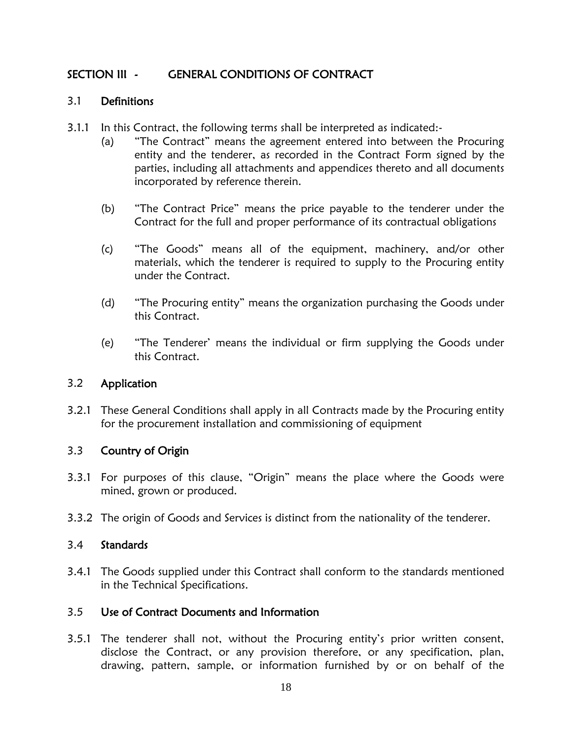## SECTION III - GENERAL CONDITIONS OF CONTRACT

#### 3.1 Definitions

- 3.1.1 In this Contract, the following terms shall be interpreted as indicated:-
	- (a) "The Contract" means the agreement entered into between the Procuring entity and the tenderer, as recorded in the Contract Form signed by the parties, including all attachments and appendices thereto and all documents incorporated by reference therein.
	- (b) "The Contract Price" means the price payable to the tenderer under the Contract for the full and proper performance of its contractual obligations
	- (c) "The Goods" means all of the equipment, machinery, and/or other materials, which the tenderer is required to supply to the Procuring entity under the Contract.
	- (d) "The Procuring entity" means the organization purchasing the Goods under this Contract.
	- (e) "The Tenderer' means the individual or firm supplying the Goods under this Contract.

#### 3.2 Application

3.2.1 These General Conditions shall apply in all Contracts made by the Procuring entity for the procurement installation and commissioning of equipment

### 3.3 Country of Origin

- 3.3.1 For purposes of this clause, "Origin" means the place where the Goods were mined, grown or produced.
- 3.3.2 The origin of Goods and Services is distinct from the nationality of the tenderer.

#### 3.4 Standards

3.4.1 The Goods supplied under this Contract shall conform to the standards mentioned in the Technical Specifications.

### 3.5 Use of Contract Documents and Information

3.5.1 The tenderer shall not, without the Procuring entity's prior written consent, disclose the Contract, or any provision therefore, or any specification, plan, drawing, pattern, sample, or information furnished by or on behalf of the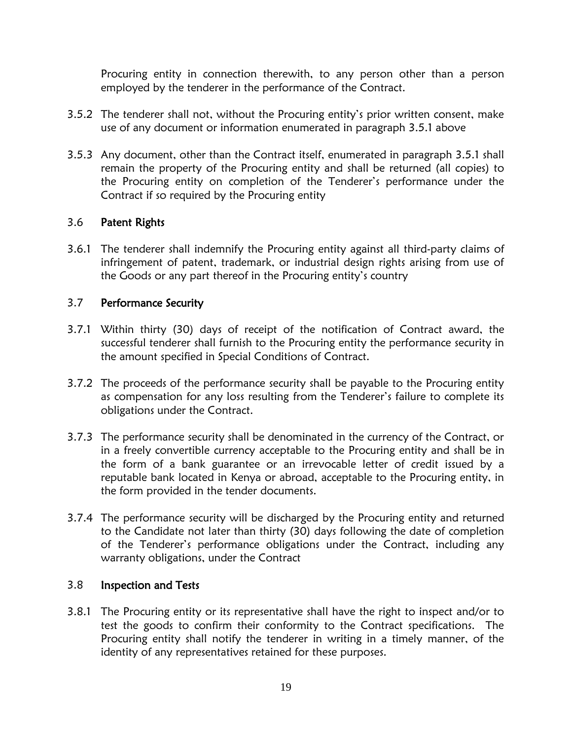Procuring entity in connection therewith, to any person other than a person employed by the tenderer in the performance of the Contract.

- 3.5.2 The tenderer shall not, without the Procuring entity's prior written consent, make use of any document or information enumerated in paragraph 3.5.1 above
- 3.5.3 Any document, other than the Contract itself, enumerated in paragraph 3.5.1 shall remain the property of the Procuring entity and shall be returned (all copies) to the Procuring entity on completion of the Tenderer's performance under the Contract if so required by the Procuring entity

#### 3.6 Patent Rights

3.6.1 The tenderer shall indemnify the Procuring entity against all third-party claims of infringement of patent, trademark, or industrial design rights arising from use of the Goods or any part thereof in the Procuring entity's country

#### 3.7 Performance Security

- 3.7.1 Within thirty (30) days of receipt of the notification of Contract award, the successful tenderer shall furnish to the Procuring entity the performance security in the amount specified in Special Conditions of Contract.
- 3.7.2 The proceeds of the performance security shall be payable to the Procuring entity as compensation for any loss resulting from the Tenderer's failure to complete its obligations under the Contract.
- 3.7.3 The performance security shall be denominated in the currency of the Contract, or in a freely convertible currency acceptable to the Procuring entity and shall be in the form of a bank guarantee or an irrevocable letter of credit issued by a reputable bank located in Kenya or abroad, acceptable to the Procuring entity, in the form provided in the tender documents.
- 3.7.4 The performance security will be discharged by the Procuring entity and returned to the Candidate not later than thirty (30) days following the date of completion of the Tenderer's performance obligations under the Contract, including any warranty obligations, under the Contract

#### 3.8 Inspection and Tests

3.8.1 The Procuring entity or its representative shall have the right to inspect and/or to test the goods to confirm their conformity to the Contract specifications. The Procuring entity shall notify the tenderer in writing in a timely manner, of the identity of any representatives retained for these purposes.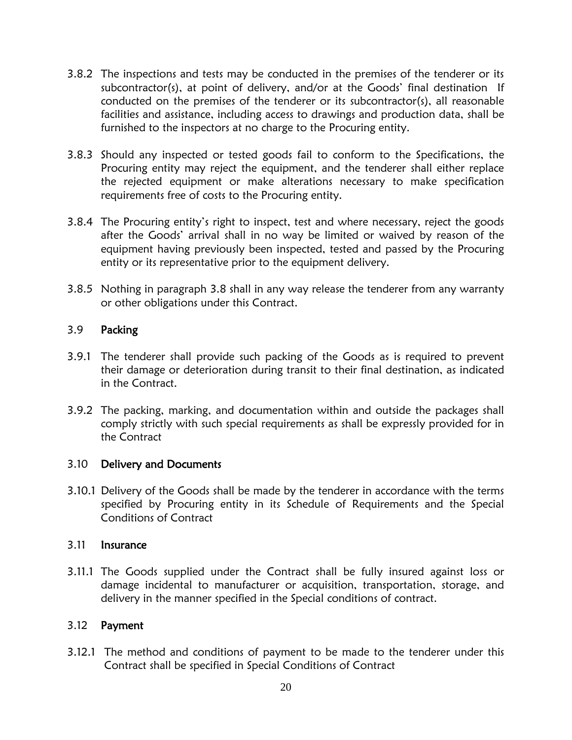- 3.8.2 The inspections and tests may be conducted in the premises of the tenderer or its subcontractor(s), at point of delivery, and/or at the Goods' final destination If conducted on the premises of the tenderer or its subcontractor(s), all reasonable facilities and assistance, including access to drawings and production data, shall be furnished to the inspectors at no charge to the Procuring entity.
- 3.8.3 Should any inspected or tested goods fail to conform to the Specifications, the Procuring entity may reject the equipment, and the tenderer shall either replace the rejected equipment or make alterations necessary to make specification requirements free of costs to the Procuring entity.
- 3.8.4 The Procuring entity's right to inspect, test and where necessary, reject the goods after the Goods' arrival shall in no way be limited or waived by reason of the equipment having previously been inspected, tested and passed by the Procuring entity or its representative prior to the equipment delivery.
- 3.8.5 Nothing in paragraph 3.8 shall in any way release the tenderer from any warranty or other obligations under this Contract.

#### 3.9 Packing

- 3.9.1 The tenderer shall provide such packing of the Goods as is required to prevent their damage or deterioration during transit to their final destination, as indicated in the Contract.
- 3.9.2 The packing, marking, and documentation within and outside the packages shall comply strictly with such special requirements as shall be expressly provided for in the Contract

#### 3.10 Delivery and Documents

3.10.1 Delivery of the Goods shall be made by the tenderer in accordance with the terms specified by Procuring entity in its Schedule of Requirements and the Special Conditions of Contract

#### 3.11 Insurance

3.11.1 The Goods supplied under the Contract shall be fully insured against loss or damage incidental to manufacturer or acquisition, transportation, storage, and delivery in the manner specified in the Special conditions of contract.

#### 3.12 Payment

3.12.1 The method and conditions of payment to be made to the tenderer under this Contract shall be specified in Special Conditions of Contract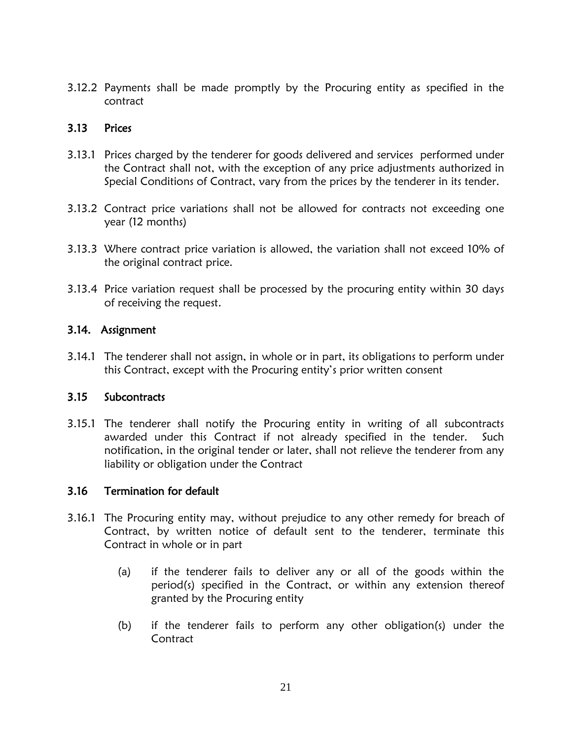3.12.2 Payments shall be made promptly by the Procuring entity as specified in the contract

#### 3.13 Prices

- 3.13.1 Prices charged by the tenderer for goods delivered and services performed under the Contract shall not, with the exception of any price adjustments authorized in Special Conditions of Contract, vary from the prices by the tenderer in its tender.
- 3.13.2 Contract price variations shall not be allowed for contracts not exceeding one year (12 months)
- 3.13.3 Where contract price variation is allowed, the variation shall not exceed 10% of the original contract price.
- 3.13.4 Price variation request shall be processed by the procuring entity within 30 days of receiving the request.

#### 3.14. Assignment

3.14.1 The tenderer shall not assign, in whole or in part, its obligations to perform under this Contract, except with the Procuring entity's prior written consent

#### 3.15 Subcontracts

3.15.1 The tenderer shall notify the Procuring entity in writing of all subcontracts awarded under this Contract if not already specified in the tender. Such notification, in the original tender or later, shall not relieve the tenderer from any liability or obligation under the Contract

#### 3.16 Termination for default

- 3.16.1 The Procuring entity may, without prejudice to any other remedy for breach of Contract, by written notice of default sent to the tenderer, terminate this Contract in whole or in part
	- (a) if the tenderer fails to deliver any or all of the goods within the period(s) specified in the Contract, or within any extension thereof granted by the Procuring entity
	- (b) if the tenderer fails to perform any other obligation(s) under the **Contract**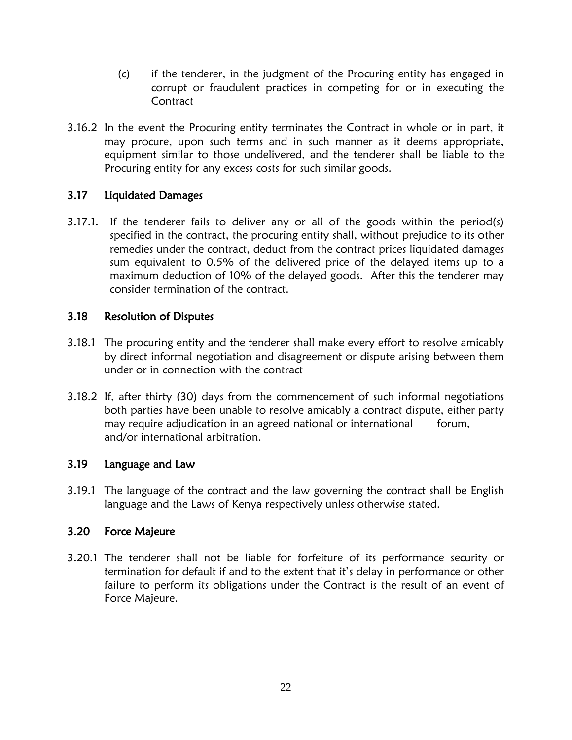- (c) if the tenderer, in the judgment of the Procuring entity has engaged in corrupt or fraudulent practices in competing for or in executing the **Contract**
- 3.16.2 In the event the Procuring entity terminates the Contract in whole or in part, it may procure, upon such terms and in such manner as it deems appropriate, equipment similar to those undelivered, and the tenderer shall be liable to the Procuring entity for any excess costs for such similar goods.

### 3.17 Liquidated Damages

3.17.1. If the tenderer fails to deliver any or all of the goods within the period(s) specified in the contract, the procuring entity shall, without prejudice to its other remedies under the contract, deduct from the contract prices liquidated damages sum equivalent to 0.5% of the delivered price of the delayed items up to a maximum deduction of 10% of the delayed goods. After this the tenderer may consider termination of the contract.

### 3.18 Resolution of Disputes

- 3.18.1 The procuring entity and the tenderer shall make every effort to resolve amicably by direct informal negotiation and disagreement or dispute arising between them under or in connection with the contract
- 3.18.2 If, after thirty (30) days from the commencement of such informal negotiations both parties have been unable to resolve amicably a contract dispute, either party may require adjudication in an agreed national or international forum, and/or international arbitration.

#### 3.19 Language and Law

3.19.1 The language of the contract and the law governing the contract shall be English language and the Laws of Kenya respectively unless otherwise stated.

#### 3.20 Force Majeure

3.20.1 The tenderer shall not be liable for forfeiture of its performance security or termination for default if and to the extent that it's delay in performance or other failure to perform its obligations under the Contract is the result of an event of Force Majeure.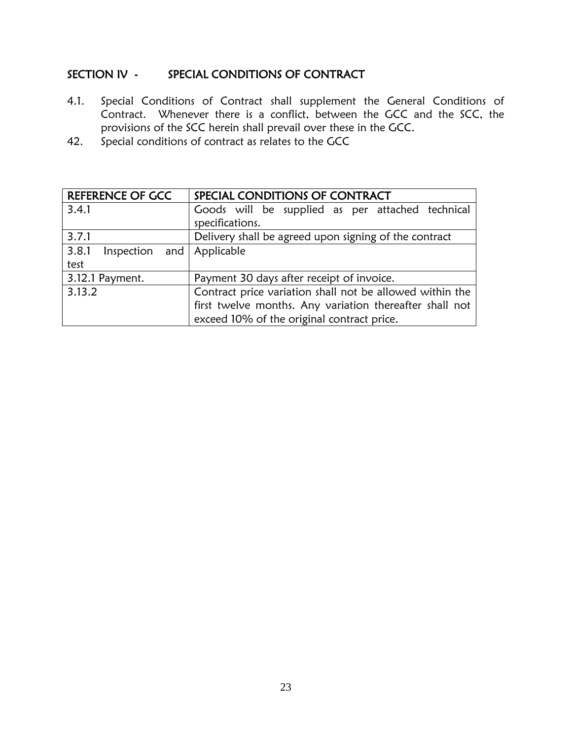## SECTION IV - SPECIAL CONDITIONS OF CONTRACT

- 4.1. Special Conditions of Contract shall supplement the General Conditions of Contract. Whenever there is a conflict, between the GCC and the SCC, the provisions of the SCC herein shall prevail over these in the GCC.
- 42. Special conditions of contract as relates to the GCC

| <b>REFERENCE OF GCC</b>            | SPECIAL CONDITIONS OF CONTRACT                           |
|------------------------------------|----------------------------------------------------------|
| 3.4.1                              | Goods will be supplied as per attached technical         |
|                                    | specifications.                                          |
| 3.7.1                              | Delivery shall be agreed upon signing of the contract    |
| 3.8.1<br>Inspection and Applicable |                                                          |
| test                               |                                                          |
| 3.12.1 Payment.                    | Payment 30 days after receipt of invoice.                |
| 3.13.2                             | Contract price variation shall not be allowed within the |
|                                    | first twelve months. Any variation thereafter shall not  |
|                                    | exceed 10% of the original contract price.               |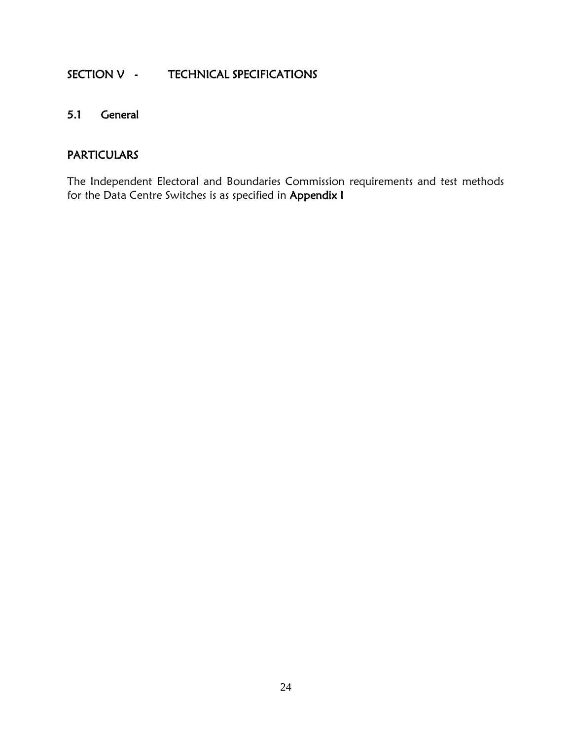## SECTION V - TECHNICAL SPECIFICATIONS

## 5.1 General

## PARTICULARS

The Independent Electoral and Boundaries Commission requirements and test methods for the Data Centre Switches is as specified in Appendix I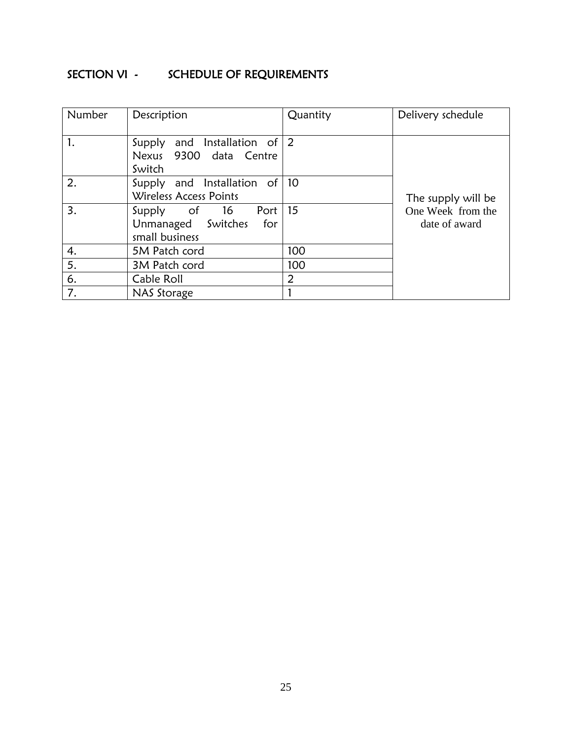## SECTION VI - SCHEDULE OF REQUIREMENTS

| Number | Description                                                            | Quantity | Delivery schedule                  |
|--------|------------------------------------------------------------------------|----------|------------------------------------|
| 1.     | Supply and Installation of $ 2 $<br>Nexus 9300 data Centre<br>Switch   |          |                                    |
| 2.     | Supply and Installation of $ 10\rangle$<br>Wireless Access Points      |          | The supply will be                 |
| 3.     | Port 15<br>Supply of 16<br>Unmanaged Switches<br>for<br>small business |          | One Week from the<br>date of award |
| 4.     | 5M Patch cord                                                          | 100      |                                    |
| 5.     | 3M Patch cord                                                          | 100      |                                    |
| 6.     | Cable Roll                                                             | 2        |                                    |
| 7.     | NAS Storage                                                            |          |                                    |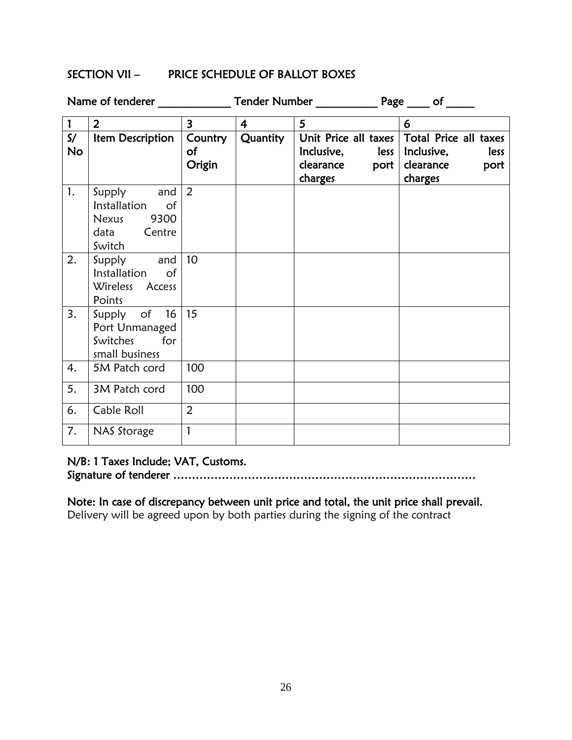#### SECTION VII – PRICE SCHEDULE OF BALLOT BOXES

|                                      | Name of tenderer                                                              |                         |                |                                                                         |                                                                             |
|--------------------------------------|-------------------------------------------------------------------------------|-------------------------|----------------|-------------------------------------------------------------------------|-----------------------------------------------------------------------------|
| $\mathbf{1}$                         | 2 <sup>1</sup>                                                                | $\overline{\mathbf{3}}$ | $\overline{4}$ | 5                                                                       | 6                                                                           |
| $\mathsf{S}/\mathsf{S}$<br><b>No</b> | Item Description                                                              | Country<br>of<br>Origin | Quantity       | Unit Price all taxes<br>Inclusive, less<br>clearance<br>port<br>charges | Total Price all taxes<br>Inclusive,<br>less<br>clearance<br>port<br>charges |
| 1.                                   | and<br>Supply<br>Installation<br>of<br>9300<br>Nexus<br>data Centre<br>Switch | 2                       |                |                                                                         |                                                                             |
| 2.                                   | Supply and<br>Installation<br>$\circ$ of<br>Wireless Access<br>Points         | 10                      |                |                                                                         |                                                                             |
| 3.                                   | Supply of 16<br>Port Unmanaged<br>for<br>Switches<br>small business           | 15                      |                |                                                                         |                                                                             |
| 4.                                   | 5M Patch cord                                                                 | 100                     |                |                                                                         |                                                                             |
| 5.                                   | 3M Patch cord                                                                 | 100                     |                |                                                                         |                                                                             |
| 6.                                   | Cable Roll                                                                    | $\overline{2}$          |                |                                                                         |                                                                             |
| 7.                                   | NAS Storage                                                                   | 1                       |                |                                                                         |                                                                             |

#### N/B: 1 Taxes Include; VAT, Customs.

Signature of tenderer ………………………………………………………………………

Note: In case of discrepancy between unit price and total, the unit price shall prevail. Delivery will be agreed upon by both parties during the signing of the contract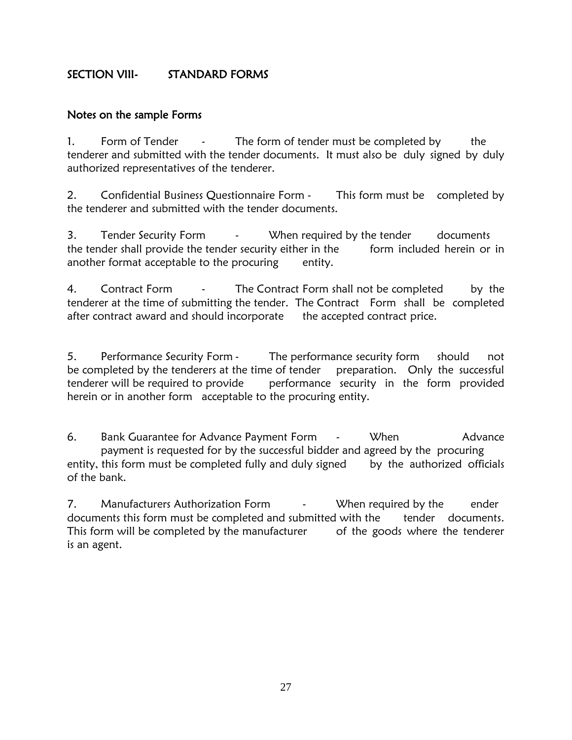## SECTION VIII- STANDARD FORMS

#### Notes on the sample Forms

1. Form of Tender - The form of tender must be completed by the tenderer and submitted with the tender documents. It must also be duly signed by duly authorized representatives of the tenderer.

2. Confidential Business Questionnaire Form - This form must be completed by the tenderer and submitted with the tender documents.

3. Tender Security Form - When required by the tender documents the tender shall provide the tender security either in the form included herein or in another format acceptable to the procuring entity.

4. Contract Form - The Contract Form shall not be completed by the tenderer at the time of submitting the tender. The Contract Form shall be completed after contract award and should incorporate the accepted contract price.

5. Performance Security Form - The performance security form should not be completed by the tenderers at the time of tender preparation. Only the successful tenderer will be required to provide performance security in the form provided herein or in another form acceptable to the procuring entity.

6. Bank Guarantee for Advance Payment Form - When Advance payment is requested for by the successful bidder and agreed by the procuring entity, this form must be completed fully and duly signed by the authorized officials of the bank.

7. Manufacturers Authorization Form - When required by the ender documents this form must be completed and submitted with the tender documents. This form will be completed by the manufacturer of the goods where the tenderer is an agent.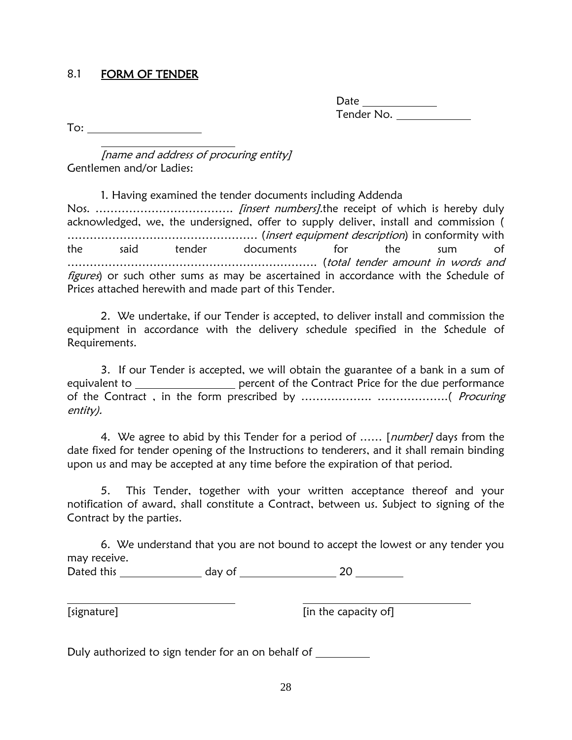#### 8.1 FORM OF TENDER

Date  $\qquad \qquad \qquad$ Tender No.

To:

[name and address of procuring entity] Gentlemen and/or Ladies:

1. Having examined the tender documents including Addenda Nos. ………………………………. [insert numbers].the receipt of which is hereby duly acknowledged, we, the undersigned, offer to supply deliver, install and commission ( …………………………………………… (insert equipment description) in conformity with the said tender documents for the sum …………………………………………………………. (total tender amount in words and figures) or such other sums as may be ascertained in accordance with the Schedule of Prices attached herewith and made part of this Tender.

2. We undertake, if our Tender is accepted, to deliver install and commission the equipment in accordance with the delivery schedule specified in the Schedule of Requirements.

3. If our Tender is accepted, we will obtain the guarantee of a bank in a sum of equivalent to \_\_\_\_\_\_\_\_\_\_\_\_\_\_\_\_\_\_ percent of the Contract Price for the due performance of the Contract , in the form prescribed by ………………. ……………….( Procuring entity).

4. We agree to abid by this Tender for a period of ...... [number] days from the date fixed for tender opening of the Instructions to tenderers, and it shall remain binding upon us and may be accepted at any time before the expiration of that period.

5. This Tender, together with your written acceptance thereof and your notification of award, shall constitute a Contract, between us. Subject to signing of the Contract by the parties.

6. We understand that you are not bound to accept the lowest or any tender you may receive.

Dated this day of 20

[in the capacity of]

Duly authorized to sign tender for an on behalf of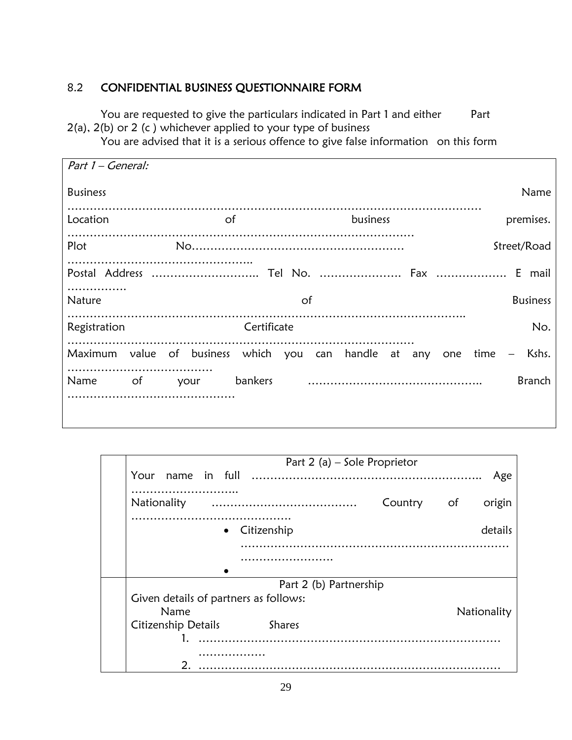## 8.2 CONFIDENTIAL BUSINESS QUESTIONNAIRE FORM

You are requested to give the particulars indicated in Part 1 and either Part 2(a), 2(b) or 2 (c ) whichever applied to your type of business

You are advised that it is a serious offence to give false information on this form

| Part 1 – General: |                                                       |             |          |                       |
|-------------------|-------------------------------------------------------|-------------|----------|-----------------------|
| <b>Business</b>   |                                                       |             |          | Name                  |
| Location          | 0f                                                    |             | business | premises.             |
| Plot              |                                                       |             |          | Street/Road           |
| .                 |                                                       |             |          |                       |
| <b>Nature</b>     |                                                       | 0f          |          | <b>Business</b>       |
| Registration      |                                                       | Certificate |          | No.                   |
|                   | Maximum value of business which you can handle at any |             |          | Kshs.<br>one time $-$ |
| Name<br>of        | your                                                  | bankers     |          | <b>Branch</b>         |
|                   |                                                       |             |          |                       |

| Part 2 (a) – Sole Proprietor          |
|---------------------------------------|
| Your<br>Age                           |
|                                       |
| Nationality<br>Country of<br>origin   |
| details<br>• Citizenship              |
|                                       |
|                                       |
| Part 2 (b) Partnership                |
| Given details of partners as follows: |
| Name<br>Nationality                   |
| Citizenship Details<br><b>Shares</b>  |
|                                       |
| .                                     |
|                                       |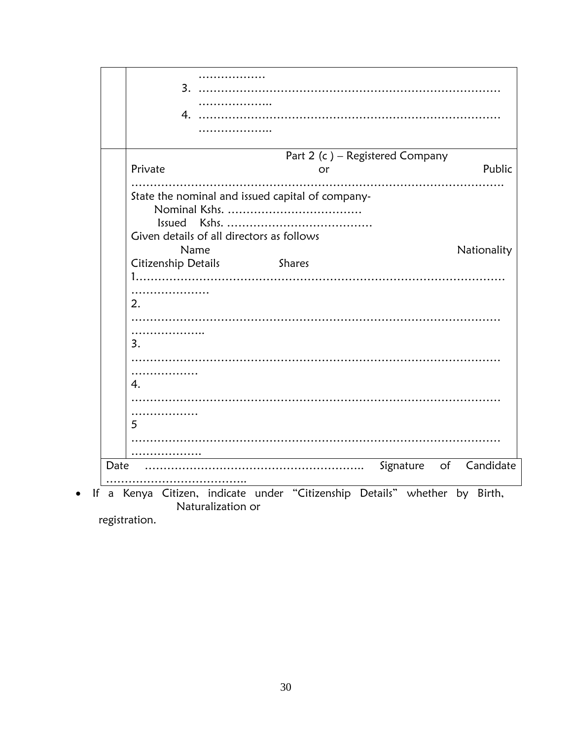|      | 4.                                               |             |
|------|--------------------------------------------------|-------------|
|      | Part 2 (c) - Registered Company<br>Private       | Public      |
|      | or                                               |             |
|      |                                                  |             |
|      | State the nominal and issued capital of company- |             |
|      |                                                  |             |
|      | <b>Issued</b>                                    |             |
|      | Given details of all directors as follows        |             |
|      | Name                                             | Nationality |
|      | Citizenship Details<br><b>Shares</b>             |             |
|      |                                                  |             |
|      |                                                  |             |
|      | 2.                                               |             |
|      |                                                  |             |
|      |                                                  |             |
|      | 3.                                               |             |
|      |                                                  |             |
|      |                                                  |             |
|      |                                                  |             |
|      | 4.                                               |             |
|      |                                                  |             |
|      | .                                                |             |
|      | 5                                                |             |
|      |                                                  |             |
|      |                                                  |             |
| Date | Signature of                                     | Candidate   |
|      |                                                  |             |
|      |                                                  |             |

registration.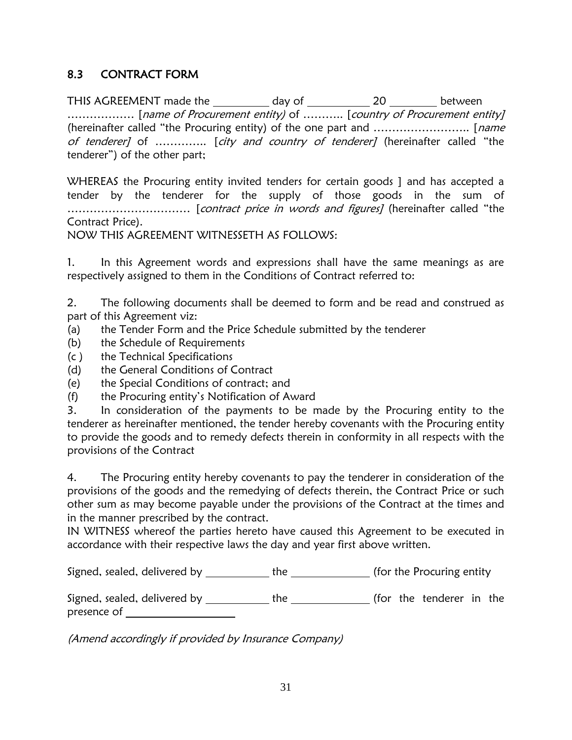## 8.3 CONTRACT FORM

THIS AGREEMENT made the \_\_\_\_\_\_\_\_\_\_\_ day of \_\_\_\_\_\_\_\_\_\_\_\_ 20 \_\_\_\_\_\_\_\_\_ between ……………… [name of Procurement entity) of ……….. [country of Procurement entity] (hereinafter called "the Procuring entity) of the one part and …………………….. [name of tenderer] of .............. [city and country of tenderer] (hereinafter called "the tenderer") of the other part;

WHEREAS the Procuring entity invited tenders for certain goods ] and has accepted a tender by the tenderer for the supply of those goods in the sum of …………………………… [contract price in words and figures] (hereinafter called "the Contract Price).

NOW THIS AGREEMENT WITNESSETH AS FOLLOWS:

1. In this Agreement words and expressions shall have the same meanings as are respectively assigned to them in the Conditions of Contract referred to:

2. The following documents shall be deemed to form and be read and construed as part of this Agreement viz:

- (a) the Tender Form and the Price Schedule submitted by the tenderer
- (b) the Schedule of Requirements
- (c ) the Technical Specifications
- (d) the General Conditions of Contract
- (e) the Special Conditions of contract; and
- (f) the Procuring entity's Notification of Award

3. In consideration of the payments to be made by the Procuring entity to the tenderer as hereinafter mentioned, the tender hereby covenants with the Procuring entity to provide the goods and to remedy defects therein in conformity in all respects with the provisions of the Contract

4. The Procuring entity hereby covenants to pay the tenderer in consideration of the provisions of the goods and the remedying of defects therein, the Contract Price or such other sum as may become payable under the provisions of the Contract at the times and in the manner prescribed by the contract.

IN WITNESS whereof the parties hereto have caused this Agreement to be executed in accordance with their respective laws the day and year first above written.

Signed, sealed, delivered by \_\_\_\_\_\_\_\_\_\_\_\_ the \_\_\_\_\_\_\_\_\_\_\_\_\_\_ (for the Procuring entity

Signed, sealed, delivered by \_\_\_\_\_\_\_\_\_\_\_\_ the \_\_\_\_\_\_\_\_\_\_\_\_\_\_(for the tenderer in the presence of

(Amend accordingly if provided by Insurance Company)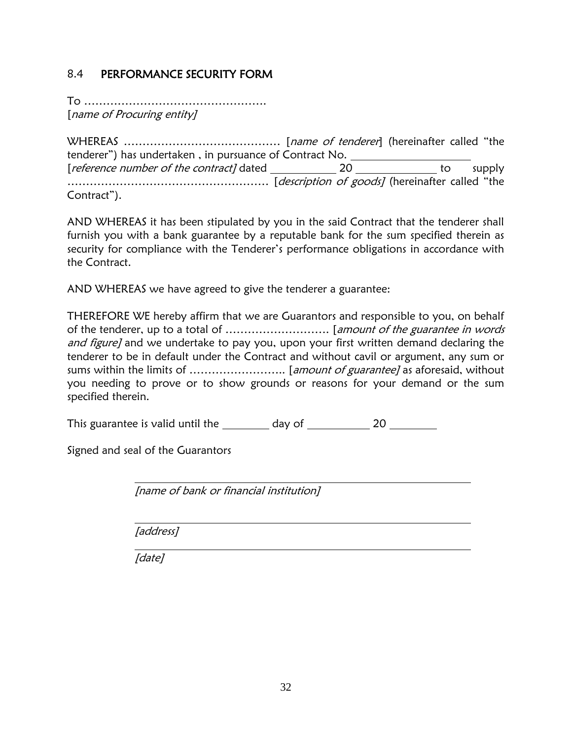## 8.4 PERFORMANCE SECURITY FORM

To …………………………………………. [name of Procuring entity]

WHEREAS …………………………………… [name of tenderer] (hereinafter called "the tenderer") has undertaken , in pursuance of Contract No. [*reference number of the contract]* dated 20 to supply ……………………………………………… [description of goods] (hereinafter called "the Contract").

AND WHEREAS it has been stipulated by you in the said Contract that the tenderer shall furnish you with a bank guarantee by a reputable bank for the sum specified therein as security for compliance with the Tenderer's performance obligations in accordance with the Contract.

AND WHEREAS we have agreed to give the tenderer a guarantee:

THEREFORE WE hereby affirm that we are Guarantors and responsible to you, on behalf of the tenderer, up to a total of ………………………. [amount of the guarantee in words and figure] and we undertake to pay you, upon your first written demand declaring the tenderer to be in default under the Contract and without cavil or argument, any sum or sums within the limits of …………………….. [amount of guarantee] as aforesaid, without you needing to prove or to show grounds or reasons for your demand or the sum specified therein.

This guarantee is valid until the  $\qquad \qquad$  day of  $\qquad \qquad$  20

Signed and seal of the Guarantors

[name of bank or financial institution]

[address]

[date]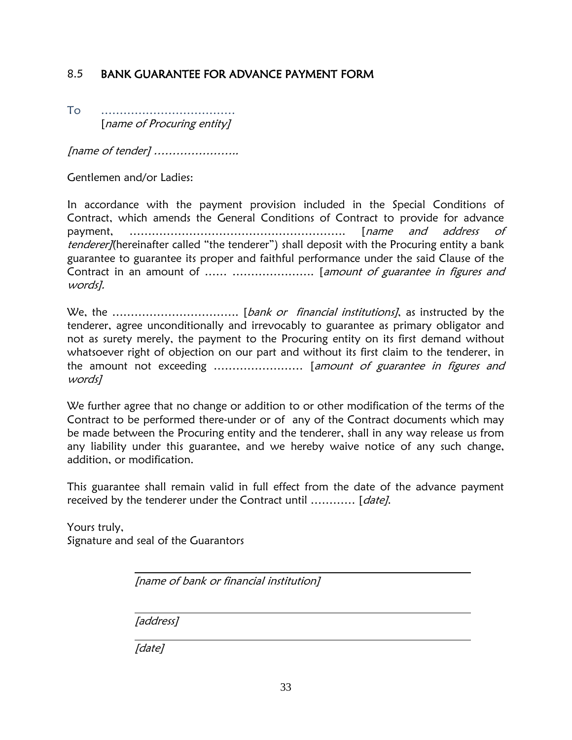## 8.5 BANK GUARANTEE FOR ADVANCE PAYMENT FORM

To ……………………………… [name of Procuring entity]

[name of tender] …………………..

Gentlemen and/or Ladies:

In accordance with the payment provision included in the Special Conditions of Contract, which amends the General Conditions of Contract to provide for advance payment, …………………………………………………. [name and address of tenderer](hereinafter called "the tenderer") shall deposit with the Procuring entity a bank guarantee to guarantee its proper and faithful performance under the said Clause of the Contract in an amount of ...... ......................... [amount of guarantee in figures and words].

We, the ……………………………. [bank or financial institutions], as instructed by the tenderer, agree unconditionally and irrevocably to guarantee as primary obligator and not as surety merely, the payment to the Procuring entity on its first demand without whatsoever right of objection on our part and without its first claim to the tenderer, in the amount not exceeding ......................... [amount of guarantee in figures and words]

We further agree that no change or addition to or other modification of the terms of the Contract to be performed there-under or of any of the Contract documents which may be made between the Procuring entity and the tenderer, shall in any way release us from any liability under this guarantee, and we hereby waive notice of any such change, addition, or modification.

This guarantee shall remain valid in full effect from the date of the advance payment received by the tenderer under the Contract until ............ [date].

Yours truly, Signature and seal of the Guarantors

[name of bank or financial institution]

[address]

[date]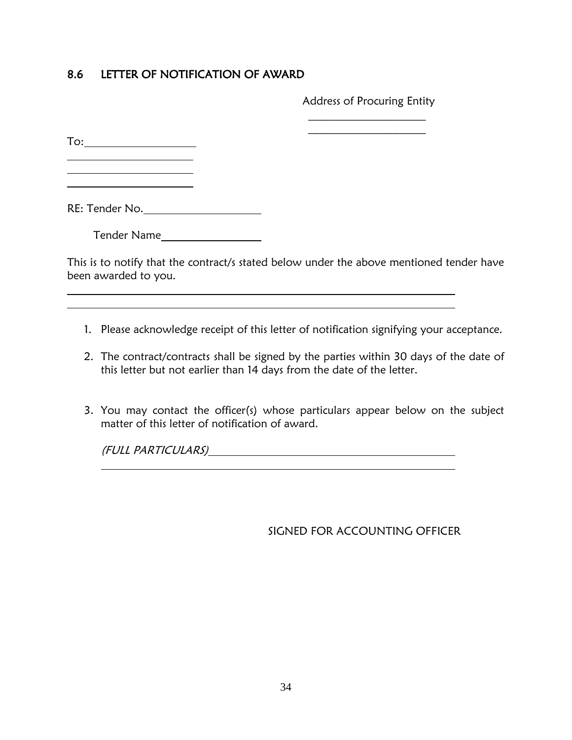## 8.6 LETTER OF NOTIFICATION OF AWARD

Address of Procuring Entity  $\mathcal{L}=\mathcal{L}^{\mathcal{L}}$ 

 $\mathcal{L}=\mathcal{L}^{\mathcal{L}}$ 

To:

 $\overline{a}$ 

RE: Tender No.

Tender Name

This is to notify that the contract/s stated below under the above mentioned tender have been awarded to you.

- 1. Please acknowledge receipt of this letter of notification signifying your acceptance.
- 2. The contract/contracts shall be signed by the parties within 30 days of the date of this letter but not earlier than 14 days from the date of the letter.
- 3. You may contact the officer(s) whose particulars appear below on the subject matter of this letter of notification of award.

(FULL PARTICULARS)

SIGNED FOR ACCOUNTING OFFICER